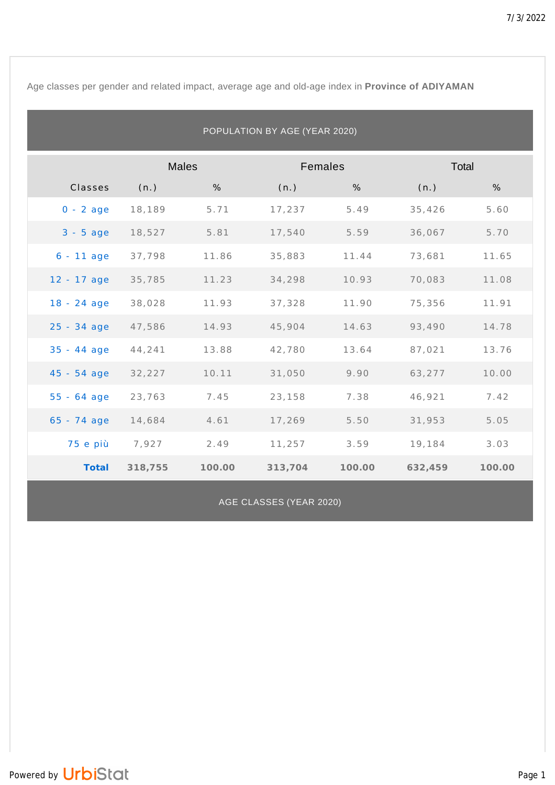Age classes per gender and related impact, average age and old-age index in **Province of ADIYAMAN**

| POPULATION BY AGE (YEAR 2020) |              |        |         |        |         |        |  |  |
|-------------------------------|--------------|--------|---------|--------|---------|--------|--|--|
|                               | <b>Males</b> |        | Females |        | Total   |        |  |  |
| Classes                       | (n.)         | %      | (n.)    | %      | (n.)    | %      |  |  |
| $0 - 2$ age                   | 18,189       | 5.71   | 17,237  | 5.49   | 35,426  | 5.60   |  |  |
| $3 - 5$ age                   | 18,527       | 5.81   | 17,540  | 5.59   | 36,067  | 5.70   |  |  |
| $6 - 11$ age                  | 37,798       | 11.86  | 35,883  | 11.44  | 73,681  | 11.65  |  |  |
| 12 - 17 age                   | 35,785       | 11.23  | 34,298  | 10.93  | 70,083  | 11.08  |  |  |
| $18 - 24$ age                 | 38,028       | 11.93  | 37,328  | 11.90  | 75,356  | 11.91  |  |  |
| 25 - 34 age                   | 47,586       | 14.93  | 45,904  | 14.63  | 93,490  | 14.78  |  |  |
| $35 - 44$ age                 | 44,241       | 13.88  | 42,780  | 13.64  | 87,021  | 13.76  |  |  |
| $45 - 54$ age                 | 32,227       | 10.11  | 31,050  | 9.90   | 63,277  | 10.00  |  |  |
| $55 - 64$ age                 | 23,763       | 7.45   | 23,158  | 7.38   | 46,921  | 7.42   |  |  |
| $65 - 74$ age                 | 14,684       | 4.61   | 17,269  | 5.50   | 31,953  | 5.05   |  |  |
| 75 e più                      | 7,927        | 2.49   | 11,257  | 3.59   | 19,184  | 3.03   |  |  |
| Total                         | 318,755      | 100.00 | 313,704 | 100.00 | 632,459 | 100.00 |  |  |

AGE CLASSES (YEAR 2020)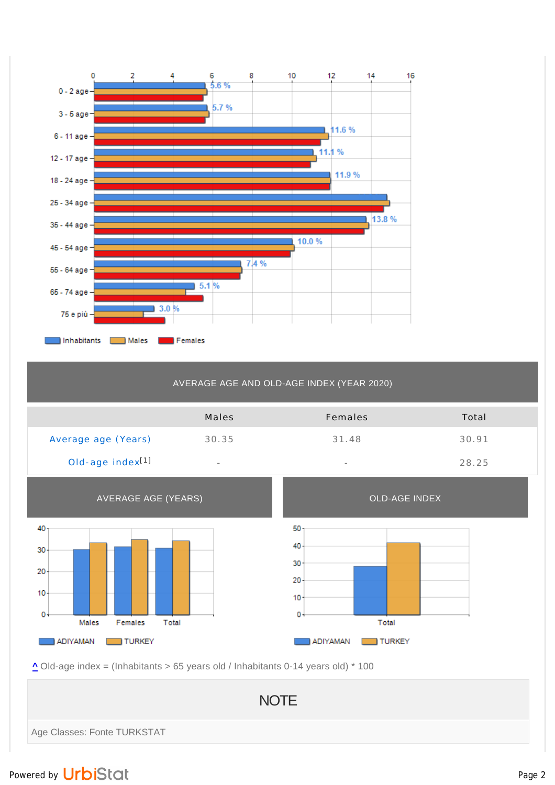

## AVERAGE AGE AND OLD-AGE INDEX (YEAR 2020)

|                              | Males                    | Females                  | Total |
|------------------------------|--------------------------|--------------------------|-------|
| Average age (Years)          | 30.35                    | 31.48                    | 30.91 |
| Old-age index <sup>[1]</sup> | $\overline{\phantom{a}}$ | $\overline{\phantom{a}}$ | 28.25 |



**^** Old-age index = (Inhabitants > 65 years old / Inhabitants 0-14 years old) \* 100

**NOTE** Age Classes: Fonte TURKSTAT

## Powered by UrbiStat and Page 2